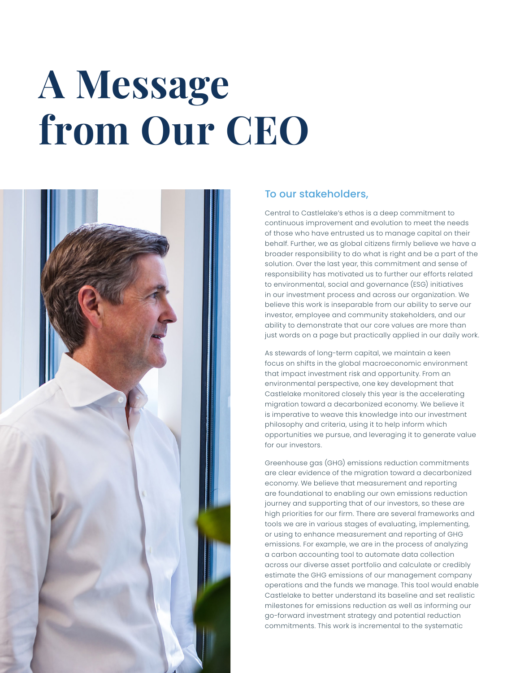## **A Message from Our CEO**



## To our stakeholders,

Central to Castlelake's ethos is a deep commitment to continuous improvement and evolution to meet the needs of those who have entrusted us to manage capital on their behalf. Further, we as global citizens firmly believe we have a broader responsibility to do what is right and be a part of the solution. Over the last year, this commitment and sense of responsibility has motivated us to further our efforts related to environmental, social and governance (ESG) initiatives in our investment process and across our organization. We believe this work is inseparable from our ability to serve our investor, employee and community stakeholders, and our ability to demonstrate that our core values are more than just words on a page but practically applied in our daily work.

As stewards of long-term capital, we maintain a keen focus on shifts in the global macroeconomic environment that impact investment risk and opportunity. From an environmental perspective, one key development that Castlelake monitored closely this year is the accelerating migration toward a decarbonized economy. We believe it is imperative to weave this knowledge into our investment philosophy and criteria, using it to help inform which opportunities we pursue, and leveraging it to generate value for our investors.

Greenhouse gas (GHG) emissions reduction commitments are clear evidence of the migration toward a decarbonized economy. We believe that measurement and reporting are foundational to enabling our own emissions reduction journey and supporting that of our investors, so these are high priorities for our firm. There are several frameworks and tools we are in various stages of evaluating, implementing, or using to enhance measurement and reporting of GHG emissions. For example, we are in the process of analyzing a carbon accounting tool to automate data collection across our diverse asset portfolio and calculate or credibly estimate the GHG emissions of our management company operations and the funds we manage. This tool would enable Castlelake to better understand its baseline and set realistic milestones for emissions reduction as well as informing our go-forward investment strategy and potential reduction commitments. This work is incremental to the systematic